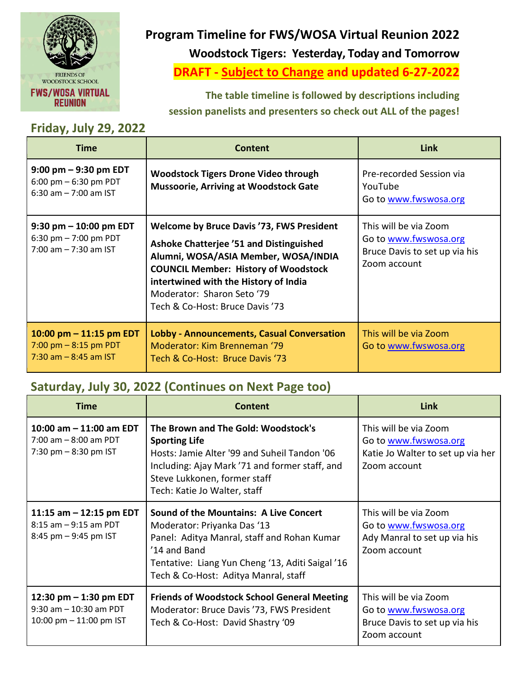

# **Program Timeline for FWS/WOSA Virtual Reunion 2022**

**Woodstock Tigers: Yesterday, Today and Tomorrow**

**DRAFT - Subject to Change and updated 6-27-2022**

**The table timeline is followed by descriptions including session panelists and presenters so check out ALL of the pages!**

## **Friday, July 29, 2022**

| <b>Time</b>                                                                      | Content                                                                                                                                                                                                                                                                                             | Link                                                                                            |
|----------------------------------------------------------------------------------|-----------------------------------------------------------------------------------------------------------------------------------------------------------------------------------------------------------------------------------------------------------------------------------------------------|-------------------------------------------------------------------------------------------------|
| $9:00$ pm $-9:30$ pm EDT<br>6:00 pm $-$ 6:30 pm PDT<br>6:30 am $- 7:00$ am IST   | <b>Woodstock Tigers Drone Video through</b><br><b>Mussoorie, Arriving at Woodstock Gate</b>                                                                                                                                                                                                         | Pre-recorded Session via<br>YouTube<br>Go to www.fwswosa.org                                    |
| $9:30$ pm $-10:00$ pm EDT<br>6:30 pm $- 7:00$ pm PDT<br>$7:00$ am $-7:30$ am IST | <b>Welcome by Bruce Davis '73, FWS President</b><br><b>Ashoke Chatterjee '51 and Distinguished</b><br>Alumni, WOSA/ASIA Member, WOSA/INDIA<br><b>COUNCIL Member: History of Woodstock</b><br>intertwined with the History of India<br>Moderator: Sharon Seto '79<br>Tech & Co-Host: Bruce Davis '73 | This will be via Zoom<br>Go to www.fwswosa.org<br>Bruce Davis to set up via his<br>Zoom account |
| 10:00 pm $-$ 11:15 pm EDT<br>7:00 pm $-$ 8:15 pm PDT<br>$7:30$ am $-8:45$ am IST | <b>Lobby - Announcements, Casual Conversation</b><br>Moderator: Kim Brenneman '79<br>Tech & Co-Host: Bruce Davis '73                                                                                                                                                                                | This will be via Zoom<br>Go to www.fwswosa.org                                                  |

## **Saturday, July 30, 2022 (Continues on Next Page too)**

| <b>Time</b>                                                                      | <b>Content</b>                                                                                                                                                                                                                          | Link                                                                                                |
|----------------------------------------------------------------------------------|-----------------------------------------------------------------------------------------------------------------------------------------------------------------------------------------------------------------------------------------|-----------------------------------------------------------------------------------------------------|
| 10:00 am $-$ 11:00 am EDT<br>$7:00$ am $-8:00$ am PDT<br>7:30 pm $-8:30$ pm IST  | The Brown and The Gold: Woodstock's<br><b>Sporting Life</b><br>Hosts: Jamie Alter '99 and Suheil Tandon '06<br>Including: Ajay Mark '71 and former staff, and<br>Steve Lukkonen, former staff<br>Tech: Katie Jo Walter, staff           | This will be via Zoom<br>Go to www.fwswosa.org<br>Katie Jo Walter to set up via her<br>Zoom account |
| 11:15 am $-$ 12:15 pm EDT<br>8:15 am - 9:15 am PDT<br>8:45 pm - 9:45 pm IST      | <b>Sound of the Mountains: A Live Concert</b><br>Moderator: Priyanka Das '13<br>Panel: Aditya Manral, staff and Rohan Kumar<br>'14 and Band<br>Tentative: Liang Yun Cheng '13, Aditi Saigal '16<br>Tech & Co-Host: Aditya Manral, staff | This will be via Zoom<br>Go to www.fwswosa.org<br>Ady Manral to set up via his<br>Zoom account      |
| 12:30 pm - 1:30 pm EDT<br>$9:30$ am $-10:30$ am PDT<br>10:00 pm $-$ 11:00 pm IST | <b>Friends of Woodstock School General Meeting</b><br>Moderator: Bruce Davis '73, FWS President<br>Tech & Co-Host: David Shastry '09                                                                                                    | This will be via Zoom<br>Go to www.fwswosa.org<br>Bruce Davis to set up via his<br>Zoom account     |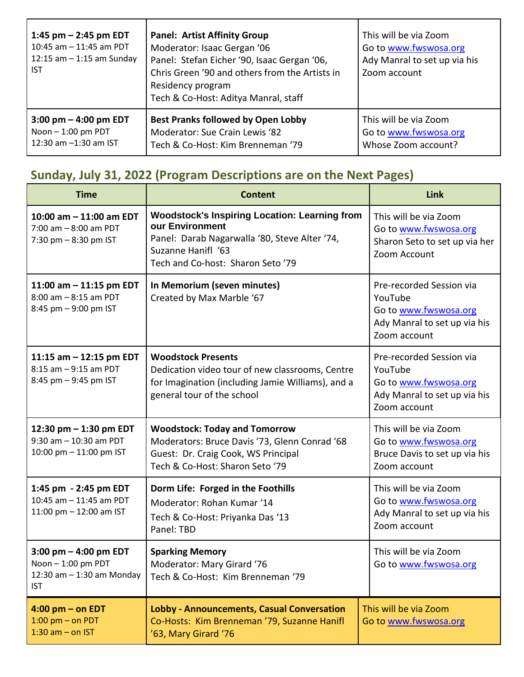| 1:45 pm $-$ 2:45 pm EDT<br>10:45 am - 11:45 am PDT<br>12:15 am $-$ 1:15 am Sunday<br><b>IST</b> | <b>Panel: Artist Affinity Group</b><br>Moderator: Isaac Gergan '06<br>Panel: Stefan Eicher '90, Isaac Gergan '06,<br>Chris Green '90 and others from the Artists in<br>Residency program<br>Tech & Co-Host: Aditya Manral, staff | This will be via Zoom<br>Go to www.fwswosa.org<br>Ady Manral to set up via his<br>Zoom account |
|-------------------------------------------------------------------------------------------------|----------------------------------------------------------------------------------------------------------------------------------------------------------------------------------------------------------------------------------|------------------------------------------------------------------------------------------------|
| 3:00 pm $-$ 4:00 pm EDT                                                                         | <b>Best Pranks followed by Open Lobby</b>                                                                                                                                                                                        | This will be via Zoom                                                                          |
| Noon $-1:00$ pm PDT                                                                             | Moderator: Sue Crain Lewis '82                                                                                                                                                                                                   | Go to www.fwswosa.org                                                                          |
| 12:30 am -1:30 am IST                                                                           | Tech & Co-Host: Kim Brenneman '79                                                                                                                                                                                                | Whose Zoom account?                                                                            |

## **Sunday, July 31, 2022 (Program Descriptions are on the Next Pages)**

| <b>Time</b>                                                                                 | <b>Content</b>                                                                                                                                                                      | <b>Link</b>                                                                                                  |
|---------------------------------------------------------------------------------------------|-------------------------------------------------------------------------------------------------------------------------------------------------------------------------------------|--------------------------------------------------------------------------------------------------------------|
| 10:00 am - 11:00 am EDT<br>7:00 am - 8:00 am PDT<br>7:30 pm $-$ 8:30 pm IST                 | <b>Woodstock's Inspiring Location: Learning from</b><br>our Environment<br>Panel: Darab Nagarwalla '80, Steve Alter '74,<br>Suzanne Hanifl '63<br>Tech and Co-host: Sharon Seto '79 | This will be via Zoom<br>Go to www.fwswosa.org<br>Sharon Seto to set up via her<br>Zoom Account              |
| 11:00 am - 11:15 pm EDT<br>$8:00$ am $-8:15$ am PDT<br>8:45 pm - 9:00 pm IST                | In Memorium (seven minutes)<br>Created by Max Marble '67                                                                                                                            | Pre-recorded Session via<br>YouTube<br>Go to www.fwswosa.org<br>Ady Manral to set up via his<br>Zoom account |
| 11:15 am - 12:15 pm EDT<br>$8:15$ am $-9:15$ am PDT<br>8:45 pm - 9:45 pm IST                | <b>Woodstock Presents</b><br>Dedication video tour of new classrooms, Centre<br>for Imagination (including Jamie Williams), and a<br>general tour of the school                     | Pre-recorded Session via<br>YouTube<br>Go to www.fwswosa.org<br>Ady Manral to set up via his<br>Zoom account |
| 12:30 pm - 1:30 pm EDT<br>9:30 am - 10:30 am PDT<br>10:00 pm - 11:00 pm IST                 | <b>Woodstock: Today and Tomorrow</b><br>Moderators: Bruce Davis '73, Glenn Conrad '68<br>Guest: Dr. Craig Cook, WS Principal<br>Tech & Co-Host: Sharon Seto '79                     | This will be via Zoom<br>Go to www.fwswosa.org<br>Bruce Davis to set up via his<br>Zoom account              |
| 1:45 pm - 2:45 pm EDT<br>10:45 am - 11:45 am PDT<br>11:00 pm - 12:00 am IST                 | Dorm Life: Forged in the Foothills<br>Moderator: Rohan Kumar '14<br>Tech & Co-Host: Priyanka Das '13<br>Panel: TBD                                                                  | This will be via Zoom<br>Go to www.fwswosa.org<br>Ady Manral to set up via his<br>Zoom account               |
| 3:00 pm $-$ 4:00 pm EDT<br>Noon $-1:00$ pm PDT<br>12:30 am $-$ 1:30 am Monday<br><b>IST</b> | <b>Sparking Memory</b><br>Moderator: Mary Girard '76<br>Tech & Co-Host: Kim Brenneman '79                                                                                           | This will be via Zoom<br>Go to www.fwswosa.org                                                               |
| $4:00$ pm $-$ on EDT<br>$1:00$ pm $-$ on PDT<br>$1:30$ am $-$ on IST                        | <b>Lobby - Announcements, Casual Conversation</b><br>Co-Hosts: Kim Brenneman '79, Suzanne Hanifl<br>'63, Mary Girard '76                                                            | This will be via Zoom<br>Go to www.fwswosa.org                                                               |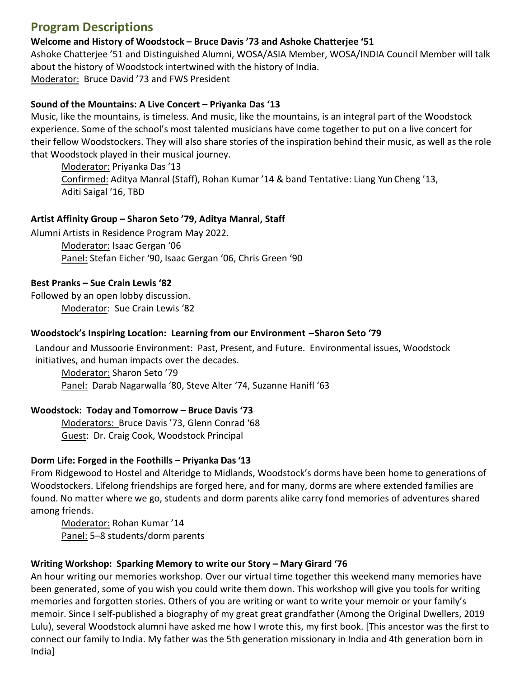## **Program Descriptions**

#### **Welcome and History of Woodstock – Bruce Davis '73 and Ashoke Chatterjee '51**

Ashoke Chatterjee '51 and Distinguished Alumni, WOSA/ASIA Member, WOSA/INDIA Council Member will talk about the history of Woodstock intertwined with the history of India. Moderator: Bruce David '73 and FWS President

#### **Sound of the Mountains: A Live Concert – Priyanka Das '13**

Music, like the mountains, is timeless. And music, like the mountains, is an integral part of the Woodstock experience. Some of the school's most talented musicians have come together to put on a live concert for their fellow Woodstockers. They will also share stories of the inspiration behind their music, as well as the role that Woodstock played in their musical journey.

Moderator: Priyanka Das '13 Confirmed: Aditya Manral (Staff), Rohan Kumar '14 & band Tentative: Liang Yun Cheng '13, Aditi Saigal '16, TBD

#### **Artist Affinity Group – Sharon Seto '79, Aditya Manral, Staff**

Alumni Artists in Residence Program May 2022. Moderator: Isaac Gergan '06 Panel: Stefan Eicher '90, Isaac Gergan '06, Chris Green '90

#### **Best Pranks – Sue Crain Lewis '82**

Followed by an open lobby discussion. Moderator: Sue Crain Lewis '82

#### **Woodstock's Inspiring Location: Learning from our Environment – Sharon Seto '79**

Landour and Mussoorie Environment: Past, Present, and Future. Environmental issues, Woodstock initiatives, and human impacts over the decades.

Moderator: Sharon Seto '79 Panel: Darab Nagarwalla '80, Steve Alter '74, Suzanne Hanifl '63

#### **Woodstock: Today and Tomorrow – Bruce Davis '73**

Moderators: Bruce Davis '73, Glenn Conrad '68 Guest: Dr. Craig Cook, Woodstock Principal

#### **Dorm Life: Forged in the Foothills – Priyanka Das '13**

From Ridgewood to Hostel and Alteridge to Midlands, Woodstock's dorms have been home to generations of Woodstockers. Lifelong friendships are forged here, and for many, dorms are where extended families are found. No matter where we go, students and dorm parents alike carry fond memories of adventures shared among friends.

Moderator: Rohan Kumar '14 Panel: 5–8 students/dorm parents

#### **Writing Workshop: Sparking Memory to write our Story – Mary Girard '76**

An hour writing our memories workshop. Over our virtual time together this weekend many memories have been generated, some of you wish you could write them down. This workshop will give you tools for writing memories and forgotten stories. Others of you are writing or want to write your memoir or your family's memoir. Since I self-published a biography of my great great grandfather (Among the Original Dwellers, 2019 Lulu), several Woodstock alumni have asked me how I wrote this, my first book. [This ancestor was the first to connect our family to India. My father was the 5th generation missionary in India and 4th generation born in India]